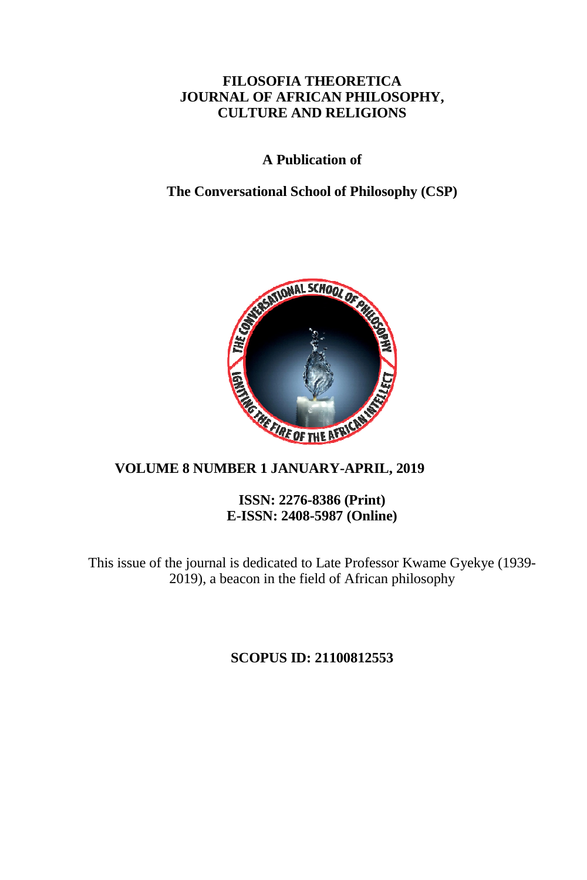## **FILOSOFIA THEORETICA JOURNAL OF AFRICAN PHILOSOPHY, CULTURE AND RELIGIONS**

## **A Publication of**

## **The Conversational School of Philosophy (CSP)**



# **VOLUME 8 NUMBER 1 JANUARY-APRIL, 2019**

#### **ISSN: 2276-8386 (Print) E-ISSN: 2408-5987 (Online)**

This issue of the journal is dedicated to Late Professor Kwame Gyekye (1939- 2019), a beacon in the field of African philosophy

**SCOPUS ID: 21100812553**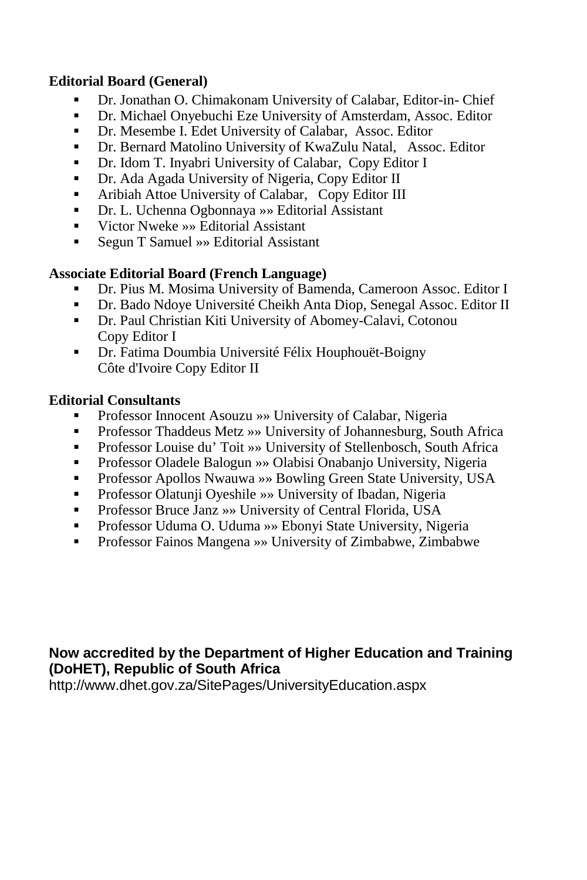## **Editorial Board (General)**

- Dr. Jonathan O. Chimakonam University of Calabar, Editor-in- Chief
- Dr. Michael Onyebuchi Eze University of Amsterdam, Assoc. Editor
- Dr. Mesembe I. Edet University of Calabar, Assoc. Editor
- Dr. Bernard Matolino University of KwaZulu Natal, Assoc. Editor
- Dr. Idom T. Inyabri University of Calabar, Copy Editor I
- Dr. Ada Agada University of Nigeria, Copy Editor II
- Aribiah Attoe University of Calabar, Copy Editor III
- Dr. L. Uchenna Ogbonnaya »» Editorial Assistant
- Victor Nweke »» Editorial Assistant
- Segun T Samuel » Editorial Assistant

# **Associate Editorial Board (French Language)**

- Dr. Pius M. Mosima University of Bamenda, Cameroon Assoc. Editor I
- Dr. Bado Ndoye Université Cheikh Anta Diop, Senegal Assoc. Editor II
- Dr. Paul Christian Kiti University of Abomey-Calavi, Cotonou Copy Editor I
- Dr. Fatima Doumbia Université Félix Houphouët-Boigny Côte d'Ivoire Copy Editor II

# **Editorial Consultants**

- Professor Innocent Asouzu »» University of Calabar, Nigeria
- Professor Thaddeus Metz »» University of Johannesburg, South Africa
- Professor Louise du' Toit »» University of Stellenbosch, South Africa
- Professor Oladele Balogun »» Olabisi Onabanjo University, Nigeria
- Professor Apollos Nwauwa »» Bowling Green State University, USA
- Professor Olatunji Oyeshile »» University of Ibadan, Nigeria
- Professor Bruce Janz »» University of Central Florida, USA
- Professor Uduma O. Uduma »» Ebonyi State University, Nigeria
- Professor Fainos Mangena »» University of Zimbabwe, Zimbabwe

# **Now accredited by the Department of Higher Education and Training (DoHET), Republic of South Africa**

http://www.dhet.gov.za/SitePages/UniversityEducation.aspx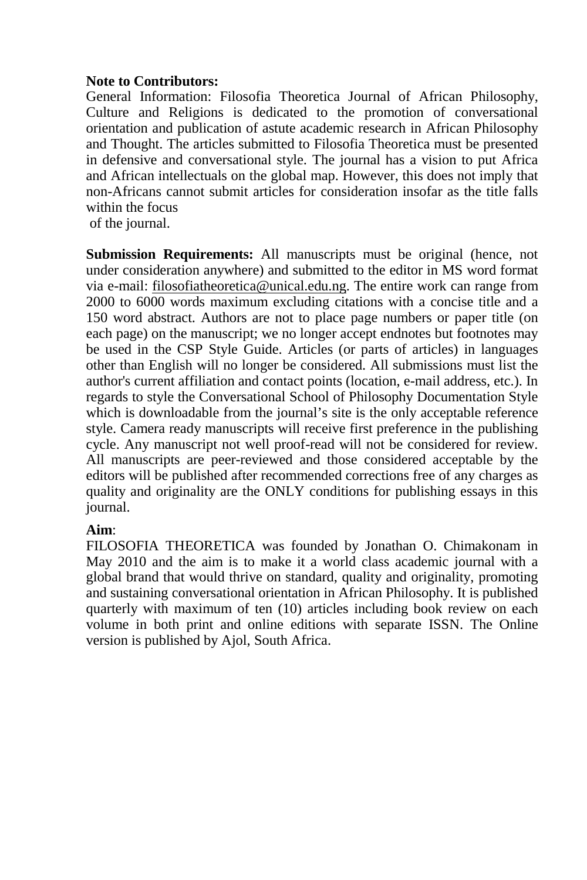## **Note to Contributors:**

General Information: Filosofia Theoretica Journal of African Philosophy, Culture and Religions is dedicated to the promotion of conversational orientation and publication of astute academic research in African Philosophy and Thought. The articles submitted to Filosofia Theoretica must be presented in defensive and conversational style. The journal has a vision to put Africa and African intellectuals on the global map. However, this does not imply that non-Africans cannot submit articles for consideration insofar as the title falls within the focus

of the journal.

**Submission Requirements:** All manuscripts must be original (hence, not under consideration anywhere) and submitted to the editor in MS word format via e-mail: filosofiatheoretica@unical.edu.ng. The entire work can range from 2000 to 6000 words maximum excluding citations with a concise title and a 150 word abstract. Authors are not to place page numbers or paper title (on each page) on the manuscript; we no longer accept endnotes but footnotes may be used in the CSP Style Guide. Articles (or parts of articles) in languages other than English will no longer be considered. All submissions must list the author's current affiliation and contact points (location, e-mail address, etc.). In regards to style the Conversational School of Philosophy Documentation Style which is downloadable from the journal's site is the only acceptable reference style. Camera ready manuscripts will receive first preference in the publishing cycle. Any manuscript not well proof-read will not be considered for review. All manuscripts are peer-reviewed and those considered acceptable by the editors will be published after recommended corrections free of any charges as quality and originality are the ONLY conditions for publishing essays in this journal.

## **Aim**:

FILOSOFIA THEORETICA was founded by Jonathan O. Chimakonam in May 2010 and the aim is to make it a world class academic journal with a global brand that would thrive on standard, quality and originality, promoting and sustaining conversational orientation in African Philosophy. It is published quarterly with maximum of ten (10) articles including book review on each volume in both print and online editions with separate ISSN. The Online version is published by Ajol, South Africa.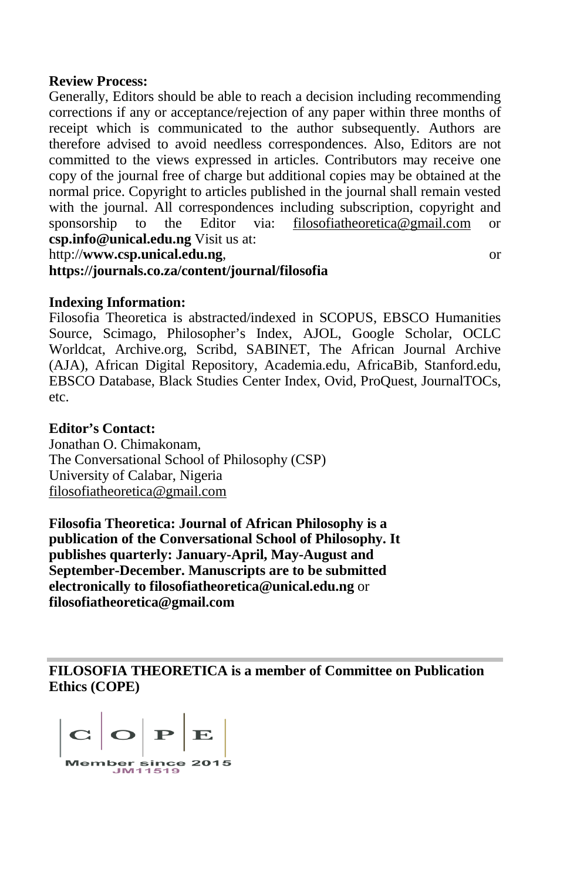#### **Review Process:**

Generally, Editors should be able to reach a decision including recommending corrections if any or acceptance/rejection of any paper within three months of receipt which is communicated to the author subsequently. Authors are therefore advised to avoid needless correspondences. Also, Editors are not committed to the views expressed in articles. Contributors may receive one copy of the journal free of charge but additional copies may be obtained at the normal price. Copyright to articles published in the journal shall remain vested with the journal. All correspondences including subscription, copyright and sponsorship to the Editor via: filosofiatheoretica@gmail.com or sponsorship to the Editor via: filosofiatheoretica@gmail.com or **csp.info@unical.edu.ng** Visit us at:

http://**www.csp.unical.edu.ng**, or

#### **https://journals.co.za/content/journal/filosofia**

## **Indexing Information:**

Filosofia Theoretica is abstracted/indexed in SCOPUS, EBSCO Humanities Source, Scimago, Philosopher's Index, AJOL, Google Scholar, OCLC Worldcat, Archive.org, Scribd, SABINET, The African Journal Archive (AJA), African Digital Repository, Academia.edu, AfricaBib, Stanford.edu, EBSCO Database, Black Studies Center Index, Ovid, ProQuest, JournalTOCs, etc.

#### **Editor's Contact:**

Jonathan O. Chimakonam, The Conversational School of Philosophy (CSP) University of Calabar, Nigeria filosofiatheoretica@gmail.com

**Filosofia Theoretica: Journal of African Philosophy is a publication of the Conversational School of Philosophy. It publishes quarterly: January-April, May-August and September-December. Manuscripts are to be submitted electronically to filosofiatheoretica@unical.edu.ng** or **filosofiatheoretica@gmail.com**

**FILOSOFIA THEORETICA is a member of Committee on Publication Ethics (COPE)** 

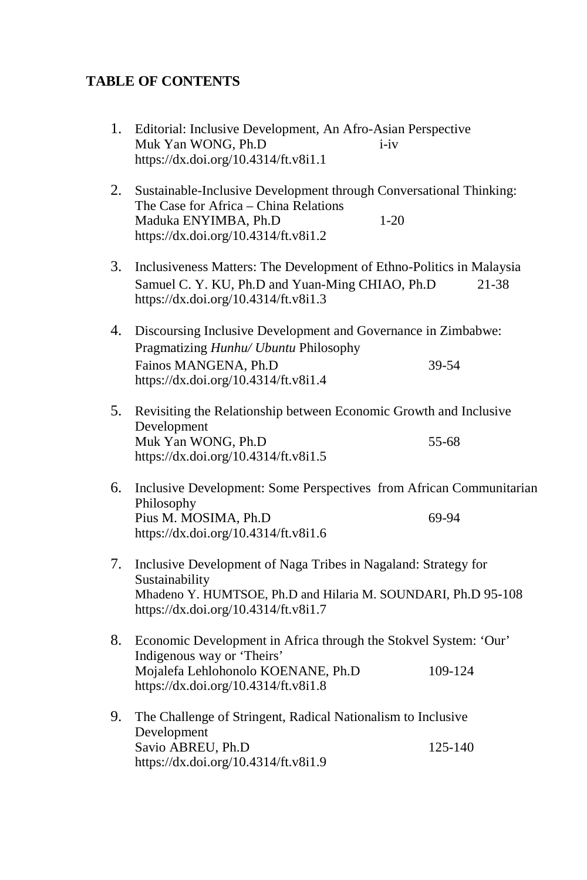# **TABLE OF CONTENTS**

| 1. | Editorial: Inclusive Development, An Afro-Asian Perspective<br>Muk Yan WONG, Ph.D<br>$i - iv$<br>https://dx.doi.org/10.4314/ft.v8i1.1                                                     |
|----|-------------------------------------------------------------------------------------------------------------------------------------------------------------------------------------------|
| 2. | Sustainable-Inclusive Development through Conversational Thinking:<br>The Case for Africa - China Relations<br>Maduka ENYIMBA, Ph.D<br>$1 - 20$<br>https://dx.doi.org/10.4314/ft.v8i1.2   |
| 3. | Inclusiveness Matters: The Development of Ethno-Politics in Malaysia<br>Samuel C. Y. KU, Ph.D and Yuan-Ming CHIAO, Ph.D<br>21-38<br>https://dx.doi.org/10.4314/ft.v8i1.3                  |
| 4. | Discoursing Inclusive Development and Governance in Zimbabwe:<br>Pragmatizing Hunhu/ Ubuntu Philosophy<br>Fainos MANGENA, Ph.D<br>39-54<br>https://dx.doi.org/10.4314/ft.v8i1.4           |
| 5. | Revisiting the Relationship between Economic Growth and Inclusive<br>Development<br>Muk Yan WONG, Ph.D<br>55-68<br>https://dx.doi.org/10.4314/ft.v8i1.5                                   |
| 6. | Inclusive Development: Some Perspectives from African Communitarian<br>Philosophy<br>Pius M. MOSIMA, Ph.D<br>69-94<br>https://dx.doi.org/10.4314/ft.v8i1.6                                |
| 7. | Inclusive Development of Naga Tribes in Nagaland: Strategy for<br>Sustainability<br>Mhadeno Y. HUMTSOE, Ph.D and Hilaria M. SOUNDARI, Ph.D 95-108<br>https://dx.doi.org/10.4314/ft.v8i1.7 |
| 8. | Economic Development in Africa through the Stokvel System: 'Our'<br>Indigenous way or 'Theirs'<br>Mojalefa Lehlohonolo KOENANE, Ph.D<br>109-124<br>https://dx.doi.org/10.4314/ft.v8i1.8   |
| 9. | The Challenge of Stringent, Radical Nationalism to Inclusive<br>Development<br>Savio ABREU, Ph.D<br>125-140<br>https://dx.doi.org/10.4314/ft.v8i1.9                                       |